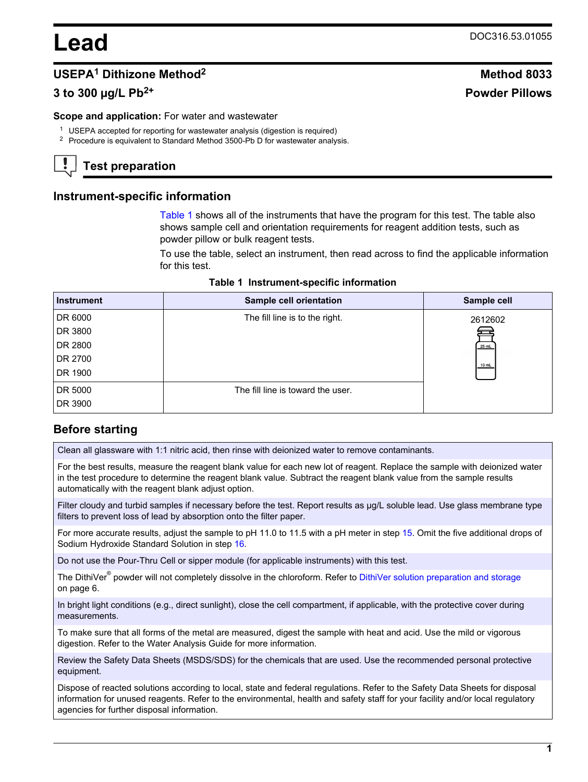# **Lead** DOC316.53.01055

# **USEPA<sup>1</sup> Dithizone Method<sup>2</sup> Method 8033**

# **3 to 300 µg/L Pb2+ Powder Pillows**

#### **Scope and application:** For water and wastewater

- <sup>1</sup> USEPA accepted for reporting for wastewater analysis (digestion is required)
- <sup>2</sup> Procedure is equivalent to Standard Method 3500-Pb D for wastewater analysis.

# **Test preparation**

#### **Instrument-specific information**

[Table 1](#page-0-0) shows all of the instruments that have the program for this test. The table also shows sample cell and orientation requirements for reagent addition tests, such as powder pillow or bulk reagent tests.

To use the table, select an instrument, then read across to find the applicable information for this test.

<span id="page-0-1"></span><span id="page-0-0"></span>

| <b>Instrument</b> | <b>Sample cell orientation</b>    | Sample cell |
|-------------------|-----------------------------------|-------------|
| DR 6000           | The fill line is to the right.    | 2612602     |
| DR 3800           |                                   |             |
| DR 2800           |                                   | 25 mL       |
| DR 2700           |                                   | 10 mL       |
| DR 1900           |                                   |             |
| DR 5000           | The fill line is toward the user. |             |
| DR 3900           |                                   |             |

# **Before starting**

Clean all glassware with 1:1 nitric acid, then rinse with deionized water to remove contaminants.

For the best results, measure the reagent blank value for each new lot of reagent. Replace the sample with deionized water in the test procedure to determine the reagent blank value. Subtract the reagent blank value from the sample results automatically with the reagent blank adjust option.

Filter cloudy and turbid samples if necessary before the test. Report results as µg/L soluble lead. Use glass membrane type filters to prevent loss of lead by absorption onto the filter paper.

For more accurate results, adjust the sample to pH 11.0 to 11.5 with a pH meter in step 15. Omit the five additional drops of Sodium Hydroxide Standard Solution in step 16.

Do not use the Pour-Thru Cell or sipper module (for applicable instruments) with this test.

The DithiVer<sup>®</sup> powder will not completely dissolve in the chloroform. Refer to [DithiVer solution preparation and storage](#page-5-0) on page 6.

In bright light conditions (e.g., direct sunlight), close the cell compartment, if applicable, with the protective cover during measurements.

To make sure that all forms of the metal are measured, digest the sample with heat and acid. Use the mild or vigorous digestion. Refer to the Water Analysis Guide for more information.

Review the Safety Data Sheets (MSDS/SDS) for the chemicals that are used. Use the recommended personal protective equipment.

Dispose of reacted solutions according to local, state and federal regulations. Refer to the Safety Data Sheets for disposal information for unused reagents. Refer to the environmental, health and safety staff for your facility and/or local regulatory agencies for further disposal information.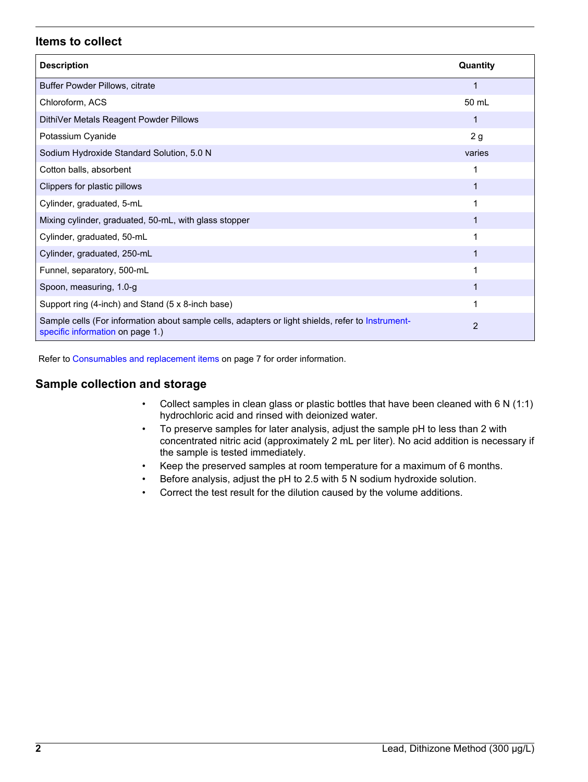# **Items to collect**

| <b>Description</b>                                                                                                                    | Quantity       |
|---------------------------------------------------------------------------------------------------------------------------------------|----------------|
| Buffer Powder Pillows, citrate                                                                                                        | 1              |
| Chloroform, ACS                                                                                                                       | 50 mL          |
| DithiVer Metals Reagent Powder Pillows                                                                                                |                |
| Potassium Cyanide                                                                                                                     | 2g             |
| Sodium Hydroxide Standard Solution, 5.0 N                                                                                             | varies         |
| Cotton balls, absorbent                                                                                                               |                |
| Clippers for plastic pillows                                                                                                          |                |
| Cylinder, graduated, 5-mL                                                                                                             |                |
| Mixing cylinder, graduated, 50-mL, with glass stopper                                                                                 |                |
| Cylinder, graduated, 50-mL                                                                                                            |                |
| Cylinder, graduated, 250-mL                                                                                                           |                |
| Funnel, separatory, 500-mL                                                                                                            |                |
| Spoon, measuring, 1.0-g                                                                                                               |                |
| Support ring (4-inch) and Stand (5 x 8-inch base)                                                                                     |                |
| Sample cells (For information about sample cells, adapters or light shields, refer to Instrument-<br>specific information on page 1.) | $\overline{2}$ |

Refer to [Consumables and replacement items](#page-6-0) on page 7 for order information.

# **Sample collection and storage**

- Collect samples in clean glass or plastic bottles that have been cleaned with  $6 \text{ N } (1:1)$ hydrochloric acid and rinsed with deionized water.
- To preserve samples for later analysis, adjust the sample pH to less than 2 with concentrated nitric acid (approximately 2 mL per liter). No acid addition is necessary if the sample is tested immediately.
- Keep the preserved samples at room temperature for a maximum of 6 months.
- Before analysis, adjust the pH to 2.5 with 5 N sodium hydroxide solution.
- Correct the test result for the dilution caused by the volume additions.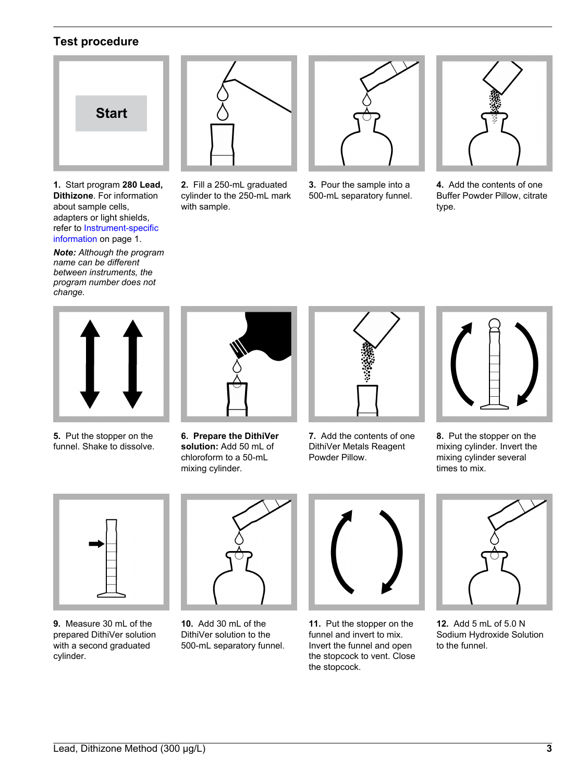# **Test procedure**

<span id="page-2-0"></span>

**1.** Start program **280 Lead, Dithizone**. For information about sample cells, adapters or light shields, refer to [Instrument-specific](#page-0-1) [information](#page-0-1) on page 1.

*Note: Although the program name can be different between instruments, the program number does not change.*



**2.** Fill a 250-mL graduated cylinder to the 250-mL mark with sample.



**3.** Pour the sample into a 500-mL separatory funnel.



**4.** Add the contents of one Buffer Powder Pillow, citrate type.



**5.** Put the stopper on the funnel. Shake to dissolve.



**6. Prepare the DithiVer solution:** Add 50 mL of chloroform to a 50-mL mixing cylinder.



**7.** Add the contents of one DithiVer Metals Reagent Powder Pillow.



**8.** Put the stopper on the mixing cylinder. Invert the mixing cylinder several times to mix.



**9.** Measure 30 mL of the prepared DithiVer solution with a second graduated cylinder.



**10.** Add 30 mL of the DithiVer solution to the 500-mL separatory funnel.



**11.** Put the stopper on the funnel and invert to mix. Invert the funnel and open the stopcock to vent. Close the stopcock.



**12.** Add 5 mL of 5.0 N Sodium Hydroxide Solution to the funnel.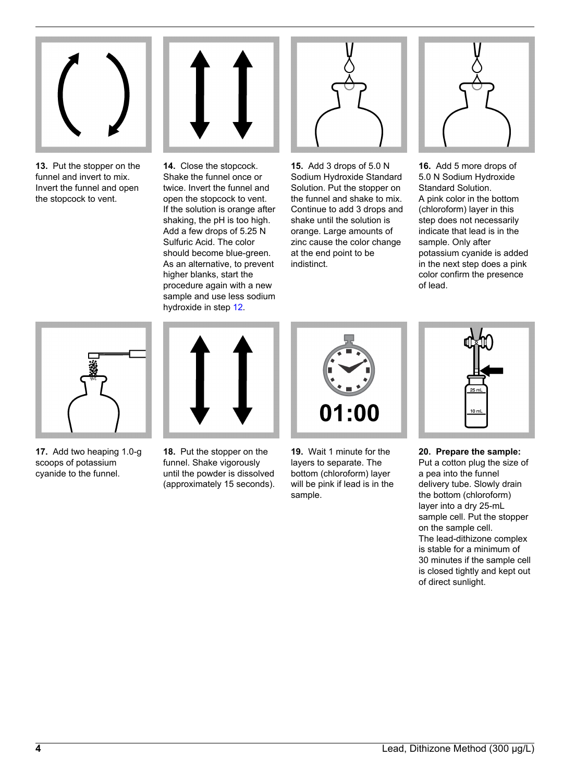

**13.** Put the stopper on the funnel and invert to mix. Invert the funnel and open the stopcock to vent.



**14.** Close the stopcock. Shake the funnel once or twice. Invert the funnel and open the stopcock to vent. If the solution is orange after shaking, the pH is too high. Add a few drops of 5.25 N Sulfuric Acid. The color should become blue-green. As an alternative, to prevent higher blanks, start the procedure again with a new sample and use less sodium hydroxide in step 12.



**15.** Add 3 drops of 5.0 N Sodium Hydroxide Standard Solution. Put the stopper on the funnel and shake to mix. Continue to add 3 drops and shake until the solution is orange. Large amounts of zinc cause the color change at the end point to be indistinct.



**16.** Add 5 more drops of 5.0 N Sodium Hydroxide Standard Solution. A pink color in the bottom (chloroform) layer in this step does not necessarily indicate that lead is in the sample. Only after potassium cyanide is added in the next step does a pink color confirm the presence of lead.



**17.** Add two heaping 1.0-g scoops of potassium cyanide to the funnel.



**18.** Put the stopper on the funnel. Shake vigorously until the powder is dissolved (approximately 15 seconds). 01:00

**19.** Wait 1 minute for the layers to separate. The bottom (chloroform) layer will be pink if lead is in the sample.



**20. Prepare the sample:**

Put a cotton plug the size of a pea into the funnel delivery tube. Slowly drain the bottom (chloroform) layer into a dry 25-mL sample cell. Put the stopper on the sample cell. The lead-dithizone complex is stable for a minimum of 30 minutes if the sample cell is closed tightly and kept out of direct sunlight.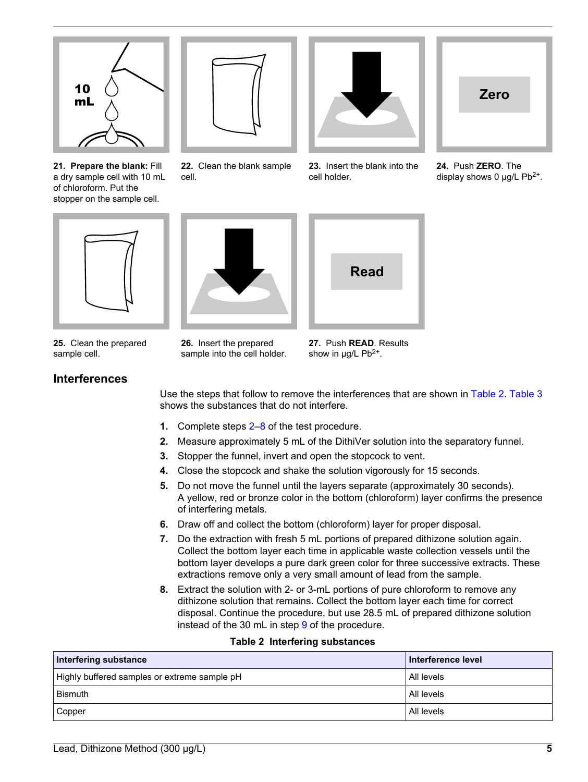

**21. Prepare the blank:** Fill a dry sample cell with 10 mL of chloroform. Put the stopper on the sample cell.



**22.** Clean the blank sample cell.



**23.** Insert the blank into the cell holder.



**24.** Push **ZERO**. The display shows 0  $\mu$ g/L Pb<sup>2+</sup>.

<span id="page-4-0"></span>

**25.** Clean the prepared sample cell.

**26.** Insert the prepared sample into the cell holder.



**27.** Push **READ**. Results show in  $\mu$ g/L Pb<sup>2+</sup>.

# **Interferences**

Use the steps that follow to remove the interferences that are shown in [Table 2.](#page-4-0) [Table 3](#page-5-1) shows the substances that do not interfere.

- **1.** Complete steps 2–8 of the test procedure.
- **2.** Measure approximately 5 mL of the DithiVer solution into the separatory funnel.
- **3.** Stopper the funnel, invert and open the stopcock to vent.
- **4.** Close the stopcock and shake the solution vigorously for 15 seconds.
- **5.** Do not move the funnel until the layers separate (approximately 30 seconds). A yellow, red or bronze color in the bottom (chloroform) layer confirms the presence of interfering metals.
- **6.** Draw off and collect the bottom (chloroform) layer for proper disposal.
- **7.** Do the extraction with fresh 5 mL portions of prepared dithizone solution again. Collect the bottom layer each time in applicable waste collection vessels until the bottom layer develops a pure dark green color for three successive extracts. These extractions remove only a very small amount of lead from the sample.
- **8.** Extract the solution with 2- or 3-mL portions of pure chloroform to remove any dithizone solution that remains. Collect the bottom layer each time for correct disposal. Continue the procedure, but use 28.5 mL of prepared dithizone solution instead of the 30 mL in step 9 of the procedure.

#### **Table 2 Interfering substances**

| Interfering substance                        | Interference level |
|----------------------------------------------|--------------------|
| Highly buffered samples or extreme sample pH | l All levels       |
| Bismuth                                      | All levels         |
| Copper                                       | l All levels       |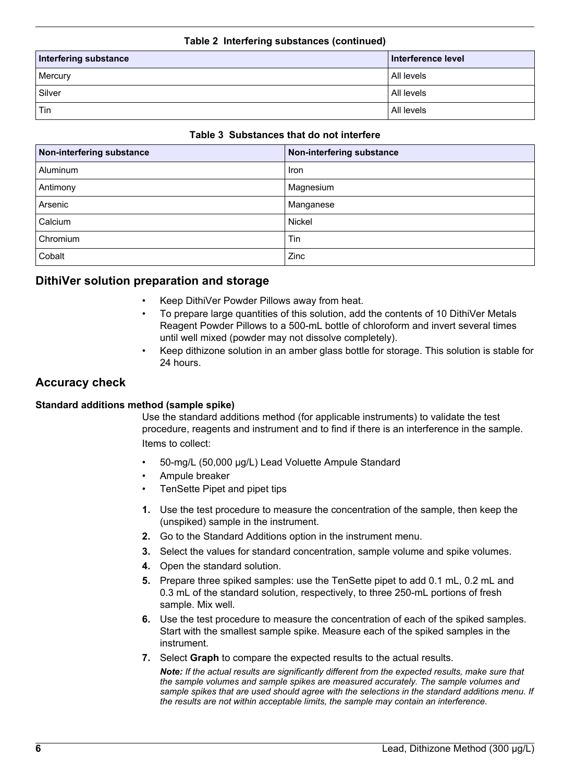#### **Table 2 Interfering substances (continued)**

| Interfering substance | Interference level |  |
|-----------------------|--------------------|--|
| Mercury               | All levels         |  |
| Silver                | All levels         |  |
| Tin                   | All levels         |  |

#### **Table 3 Substances that do not interfere**

<span id="page-5-1"></span><span id="page-5-0"></span>

| Non-interfering substance | Non-interfering substance |
|---------------------------|---------------------------|
| <b>Aluminum</b>           | Iron                      |
| Antimony                  | Magnesium                 |
| Arsenic                   | Manganese                 |
| Calcium                   | Nickel                    |
| Chromium                  | Tin                       |
| Cobalt                    | Zinc                      |

# **DithiVer solution preparation and storage**

- Keep DithiVer Powder Pillows away from heat.
- To prepare large quantities of this solution, add the contents of 10 DithiVer Metals Reagent Powder Pillows to a 500-mL bottle of chloroform and invert several times until well mixed (powder may not dissolve completely).
- Keep dithizone solution in an amber glass bottle for storage. This solution is stable for 24 hours.

# **Accuracy check**

#### **Standard additions method (sample spike)**

Use the standard additions method (for applicable instruments) to validate the test procedure, reagents and instrument and to find if there is an interference in the sample. Items to collect:

- 50-mg/L (50,000 µg/L) Lead Voluette Ampule Standard
- Ampule breaker
- TenSette Pipet and pipet tips
- **1.** Use the test procedure to measure the concentration of the sample, then keep the (unspiked) sample in the instrument.
- **2.** Go to the Standard Additions option in the instrument menu.
- **3.** Select the values for standard concentration, sample volume and spike volumes.
- **4.** Open the standard solution.
- **5.** Prepare three spiked samples: use the TenSette pipet to add 0.1 mL, 0.2 mL and 0.3 mL of the standard solution, respectively, to three 250-mL portions of fresh sample. Mix well.
- **6.** Use the test procedure to measure the concentration of each of the spiked samples. Start with the smallest sample spike. Measure each of the spiked samples in the instrument.
- **7.** Select **Graph** to compare the expected results to the actual results.

*Note: If the actual results are significantly different from the expected results, make sure that the sample volumes and sample spikes are measured accurately. The sample volumes and sample spikes that are used should agree with the selections in the standard additions menu. If the results are not within acceptable limits, the sample may contain an interference.*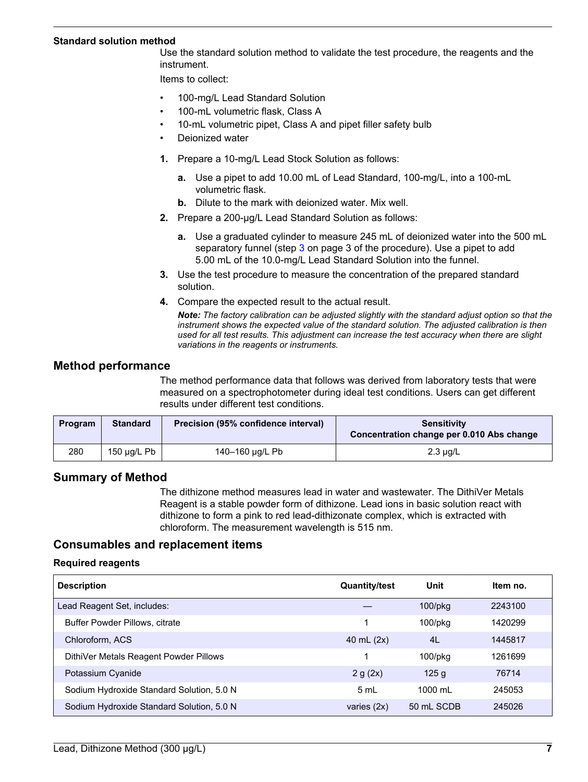#### **Standard solution method**

Use the standard solution method to validate the test procedure, the reagents and the instrument.

Items to collect:

- 100-mg/L Lead Standard Solution
- 100-mL volumetric flask, Class A
- 10-mL volumetric pipet, Class A and pipet filler safety bulb
- Deionized water
- **1.** Prepare a 10-mg/L Lead Stock Solution as follows:
	- **a.** Use a pipet to add 10.00 mL of Lead Standard, 100-mg/L, into a 100-mL volumetric flask.
	- **b.** Dilute to the mark with deionized water. Mix well.
- **2.** Prepare a 200-µg/L Lead Standard Solution as follows:
	- **a.** Use a graduated cylinder to measure 245 mL of deionized water into the 500 mL separatory funnel (step [3](#page-2-0) on page 3 of the procedure). Use a pipet to add 5.00 mL of the 10.0-mg/L Lead Standard Solution into the funnel.
- **3.** Use the test procedure to measure the concentration of the prepared standard solution.
- **4.** Compare the expected result to the actual result.

*Note: The factory calibration can be adjusted slightly with the standard adjust option so that the instrument shows the expected value of the standard solution. The adjusted calibration is then used for all test results. This adjustment can increase the test accuracy when there are slight variations in the reagents or instruments.*

### **Method performance**

The method performance data that follows was derived from laboratory tests that were measured on a spectrophotometer during ideal test conditions. Users can get different results under different test conditions.

| <b>Program</b> | <b>Standard</b> | Precision (95% confidence interval) | <b>Sensitivity</b><br>Concentration change per 0.010 Abs change |
|----------------|-----------------|-------------------------------------|-----------------------------------------------------------------|
| 280            | 150 μg/L Pb     | 140-160 µg/L Pb                     | $2.3 \mu g/L$                                                   |

# **Summary of Method**

The dithizone method measures lead in water and wastewater. The DithiVer Metals Reagent is a stable powder form of dithizone. Lead ions in basic solution react with dithizone to form a pink to red lead-dithizonate complex, which is extracted with chloroform. The measurement wavelength is 515 nm.

# **Consumables and replacement items**

#### **Required reagents**

<span id="page-6-0"></span>

| <b>Description</b>                        | <b>Quantity/test</b> | Unit              | Item no. |
|-------------------------------------------|----------------------|-------------------|----------|
| Lead Reagent Set, includes:               |                      | $100$ /pkg        | 2243100  |
| <b>Buffer Powder Pillows, citrate</b>     |                      | $100$ /p $kg$     | 1420299  |
| Chloroform, ACS                           | 40 mL $(2x)$         | 4L                | 1445817  |
| DithiVer Metals Reagent Powder Pillows    |                      | $100$ /p $kg$     | 1261699  |
| Potassium Cyanide                         | 2 g (2x)             | 125q              | 76714    |
| Sodium Hydroxide Standard Solution, 5.0 N | 5 mL                 | $1000 \text{ ml}$ | 245053   |
| Sodium Hydroxide Standard Solution, 5.0 N | varies $(2x)$        | 50 mL SCDB        | 245026   |